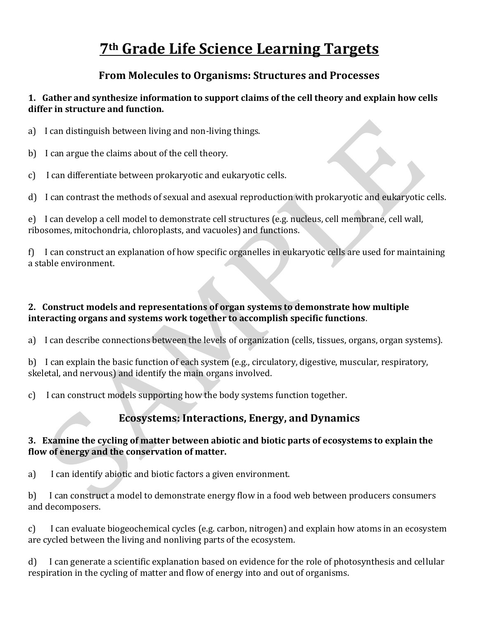# **7th Grade Life Science Learning Targets**

# **From Molecules to Organisms: Structures and Processes**

# **1. Gather and synthesize information to support claims of the cell theory and explain how cells differ in structure and function.**

- a) I can distinguish between living and non-living things.
- b) I can argue the claims about of the cell theory.
- c) I can differentiate between prokaryotic and eukaryotic cells.

d) I can contrast the methods of sexual and asexual reproduction with prokaryotic and eukaryotic cells.

e) I can develop a cell model to demonstrate cell structures (e.g. nucleus, cell membrane, cell wall, ribosomes, mitochondria, chloroplasts, and vacuoles) and functions.

f) I can construct an explanation of how specific organelles in eukaryotic cells are used for maintaining a stable environment.

# **2. Construct models and representations of organ systems to demonstrate how multiple interacting organs and systems work together to accomplish specific functions**.

a) I can describe connections between the levels of organization (cells, tissues, organs, organ systems).

b) I can explain the basic function of each system (e.g., circulatory, digestive, muscular, respiratory, skeletal, and nervous) and identify the main organs involved.

c) I can construct models supporting how the body systems function together.

# **Ecosystems: Interactions, Energy, and Dynamics**

# **3. Examine the cycling of matter between abiotic and biotic parts of ecosystems to explain the flow of energy and the conservation of matter.**

a) I can identify abiotic and biotic factors a given environment.

b) I can construct a model to demonstrate energy flow in a food web between producers consumers and decomposers.

c) I can evaluate biogeochemical cycles (e.g. carbon, nitrogen) and explain how atoms in an ecosystem are cycled between the living and nonliving parts of the ecosystem.

d) I can generate a scientific explanation based on evidence for the role of photosynthesis and cellular respiration in the cycling of matter and flow of energy into and out of organisms.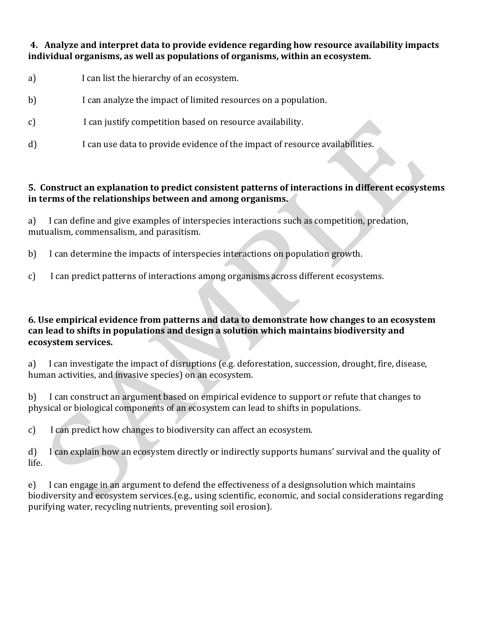## **4. Analyze and interpret data to provide evidence regarding how resource availability impacts individual organisms, as well as populations of organisms, within an ecosystem.**

- a) I can list the hierarchy of an ecosystem.
- b) I can analyze the impact of limited resources on a population.
- c) I can justify competition based on resource availability.
- d) I can use data to provide evidence of the impact of resource availabilities.

# **5. Construct an explanation to predict consistent patterns of interactions in different ecosystems in terms of the relationships between and among organisms.**

a) I can define and give examples of interspecies interactions such as competition, predation, mutualism, commensalism, and parasitism.

- b) I can determine the impacts of interspecies interactions on population growth.
- c) I can predict patterns of interactions among organisms across different ecosystems.

#### **6. Use empirical evidence from patterns and data to demonstrate how changes to an ecosystem can lead to shifts in populations and design a solution which maintains biodiversity and ecosystem services.**

a) I can investigate the impact of disruptions (e.g. deforestation, succession, drought, fire, disease, human activities, and invasive species) on an ecosystem.

b) I can construct an argument based on empirical evidence to support or refute that changes to physical or biological components of an ecosystem can lead to shifts in populations.

c) I can predict how changes to biodiversity can affect an ecosystem.

d) I can explain how an ecosystem directly or indirectly supports humans' survival and the quality of life.

e) I can engage in an argument to defend the effectiveness of a designsolution which maintains biodiversity and ecosystem services.(e.g., using scientific, economic, and social considerations regarding purifying water, recycling nutrients, preventing soil erosion).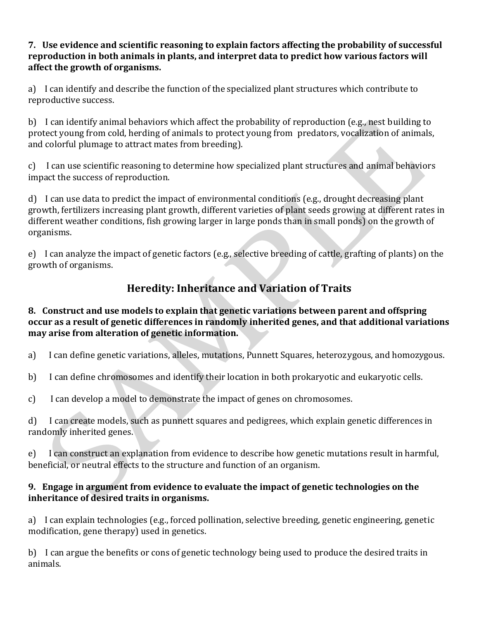### **7. Use evidence and scientific reasoning to explain factors affecting the probability of successful reproduction in both animals in plants, and interpret data to predict how various factors will affect the growth of organisms.**

a) I can identify and describe the function of the specialized plant structures which contribute to reproductive success.

b) I can identify animal behaviors which affect the probability of reproduction (e.g., nest building to protect young from cold, herding of animals to protect young from predators, vocalization of animals, and colorful plumage to attract mates from breeding).

c) I can use scientific reasoning to determine how specialized plant structures and animal behaviors impact the success of reproduction.

d) I can use data to predict the impact of environmental conditions (e.g., drought decreasing plant growth, fertilizers increasing plant growth, different varieties of plant seeds growing at different rates in different weather conditions, fish growing larger in large ponds than in small ponds) on the growth of organisms.

e) I can analyze the impact of genetic factors (e.g., selective breeding of cattle, grafting of plants) on the growth of organisms.

# **Heredity: Inheritance and Variation of Traits**

# **8. Construct and use models to explain that genetic variations between parent and offspring occur as a result of genetic differences in randomly inherited genes, and that additional variations may arise from alteration of genetic information.**

- a) I can define genetic variations, alleles, mutations, Punnett Squares, heterozygous, and homozygous.
- b) I can define chromosomes and identify their location in both prokaryotic and eukaryotic cells.
- c) I can develop a model to demonstrate the impact of genes on chromosomes.

d) I can create models, such as punnett squares and pedigrees, which explain genetic differences in randomly inherited genes.

e) I can construct an explanation from evidence to describe how genetic mutations result in harmful, beneficial, or neutral effects to the structure and function of an organism.

# **9. Engage in argument from evidence to evaluate the impact of genetic technologies on the inheritance of desired traits in organisms.**

a) I can explain technologies (e.g., forced pollination, selective breeding, genetic engineering, genetic modification, gene therapy) used in genetics.

b) I can argue the benefits or cons of genetic technology being used to produce the desired traits in animals.